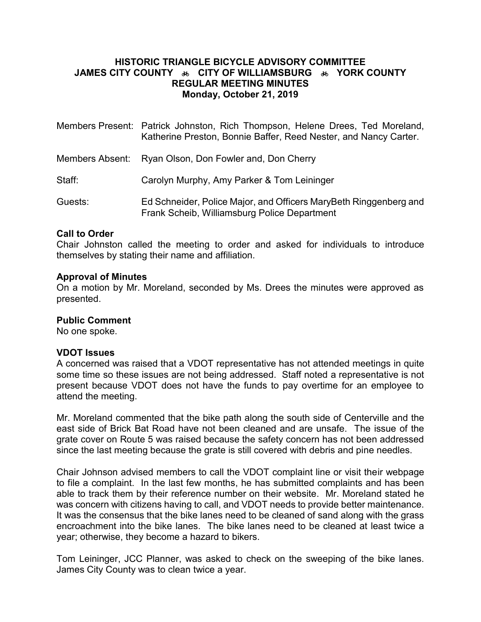### **HISTORIC TRIANGLE BICYCLE ADVISORY COMMITTEE JAMES CITY COUNTY**   $\bullet\bullet$  CITY OF WILLIAMSBURG  $\bullet\bullet$  YORK COUNTY **REGULAR MEETING MINUTES Monday, October 21, 2019**

|         | Members Present: Patrick Johnston, Rich Thompson, Helene Drees, Ted Moreland,<br>Katherine Preston, Bonnie Baffer, Reed Nester, and Nancy Carter. |
|---------|---------------------------------------------------------------------------------------------------------------------------------------------------|
|         | Members Absent: Ryan Olson, Don Fowler and, Don Cherry                                                                                            |
| Staff:  | Carolyn Murphy, Amy Parker & Tom Leininger                                                                                                        |
| Guests: | Ed Schneider, Police Major, and Officers MaryBeth Ringgenberg and<br>Frank Scheib, Williamsburg Police Department                                 |

#### **Call to Order**

Chair Johnston called the meeting to order and asked for individuals to introduce themselves by stating their name and affiliation.

#### **Approval of Minutes**

On a motion by Mr. Moreland, seconded by Ms. Drees the minutes were approved as presented.

#### **Public Comment**

No one spoke.

#### **VDOT Issues**

A concerned was raised that a VDOT representative has not attended meetings in quite some time so these issues are not being addressed. Staff noted a representative is not present because VDOT does not have the funds to pay overtime for an employee to attend the meeting.

Mr. Moreland commented that the bike path along the south side of Centerville and the east side of Brick Bat Road have not been cleaned and are unsafe. The issue of the grate cover on Route 5 was raised because the safety concern has not been addressed since the last meeting because the grate is still covered with debris and pine needles.

Chair Johnson advised members to call the VDOT complaint line or visit their webpage to file a complaint. In the last few months, he has submitted complaints and has been able to track them by their reference number on their website. Mr. Moreland stated he was concern with citizens having to call, and VDOT needs to provide better maintenance. It was the consensus that the bike lanes need to be cleaned of sand along with the grass encroachment into the bike lanes. The bike lanes need to be cleaned at least twice a year; otherwise, they become a hazard to bikers.

Tom Leininger, JCC Planner, was asked to check on the sweeping of the bike lanes. James City County was to clean twice a year.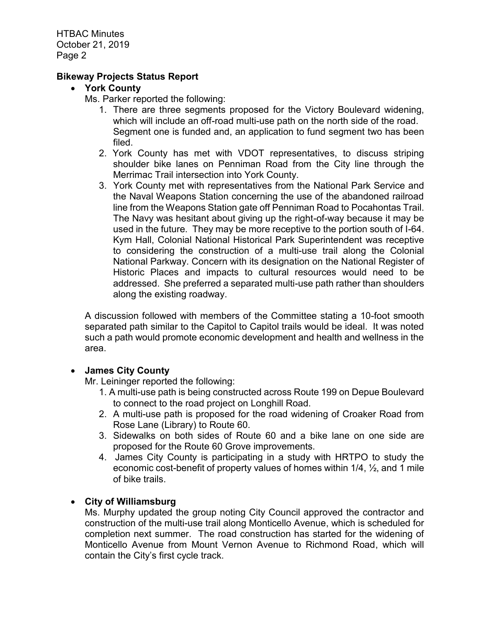HTBAC Minutes October 21, 2019 Page 2

### **Bikeway Projects Status Report**

### **York County**

- Ms. Parker reported the following:
	- 1. There are three segments proposed for the Victory Boulevard widening, which will include an off-road multi-use path on the north side of the road. Segment one is funded and, an application to fund segment two has been filed.
	- 2. York County has met with VDOT representatives, to discuss striping shoulder bike lanes on Penniman Road from the City line through the Merrimac Trail intersection into York County.
	- 3. York County met with representatives from the National Park Service and the Naval Weapons Station concerning the use of the abandoned railroad line from the Weapons Station gate off Penniman Road to Pocahontas Trail. The Navy was hesitant about giving up the right-of-way because it may be used in the future. They may be more receptive to the portion south of I-64. Kym Hall, Colonial National Historical Park Superintendent was receptive to considering the construction of a multi-use trail along the Colonial National Parkway. Concern with its designation on the National Register of Historic Places and impacts to cultural resources would need to be addressed. She preferred a separated multi-use path rather than shoulders along the existing roadway.

A discussion followed with members of the Committee stating a 10-foot smooth separated path similar to the Capitol to Capitol trails would be ideal. It was noted such a path would promote economic development and health and wellness in the area.

### **James City County**

Mr. Leininger reported the following:

- 1. A multi-use path is being constructed across Route 199 on Depue Boulevard to connect to the road project on Longhill Road.
- 2. A multi-use path is proposed for the road widening of Croaker Road from Rose Lane (Library) to Route 60.
- 3. Sidewalks on both sides of Route 60 and a bike lane on one side are proposed for the Route 60 Grove improvements.
- 4. James City County is participating in a study with HRTPO to study the economic cost-benefit of property values of homes within 1/4, ½, and 1 mile of bike trails.

### **City of Williamsburg**

Ms. Murphy updated the group noting City Council approved the contractor and construction of the multi-use trail along Monticello Avenue, which is scheduled for completion next summer. The road construction has started for the widening of Monticello Avenue from Mount Vernon Avenue to Richmond Road, which will contain the City's first cycle track.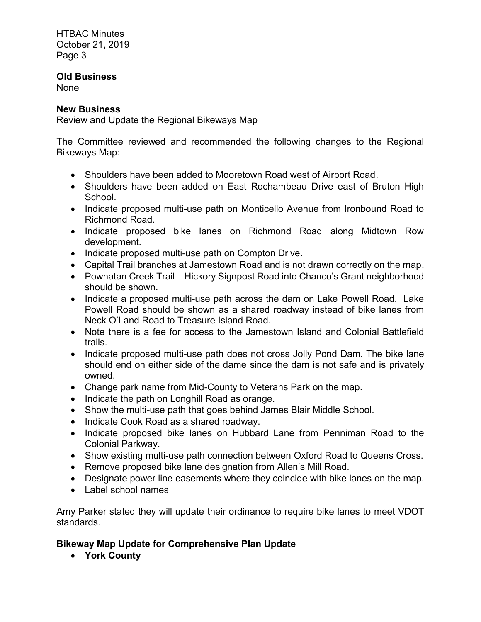HTBAC Minutes October 21, 2019 Page 3

## **Old Business**

None

### **New Business**

Review and Update the Regional Bikeways Map

The Committee reviewed and recommended the following changes to the Regional Bikeways Map:

- Shoulders have been added to Mooretown Road west of Airport Road.
- Shoulders have been added on East Rochambeau Drive east of Bruton High School.
- Indicate proposed multi-use path on Monticello Avenue from Ironbound Road to Richmond Road.
- Indicate proposed bike lanes on Richmond Road along Midtown Row development.
- Indicate proposed multi-use path on Compton Drive.
- Capital Trail branches at Jamestown Road and is not drawn correctly on the map.
- Powhatan Creek Trail Hickory Signpost Road into Chanco's Grant neighborhood should be shown.
- Indicate a proposed multi-use path across the dam on Lake Powell Road. Lake Powell Road should be shown as a shared roadway instead of bike lanes from Neck O'Land Road to Treasure Island Road.
- Note there is a fee for access to the Jamestown Island and Colonial Battlefield trails.
- Indicate proposed multi-use path does not cross Jolly Pond Dam. The bike lane should end on either side of the dame since the dam is not safe and is privately owned.
- Change park name from Mid-County to Veterans Park on the map.
- Indicate the path on Longhill Road as orange.
- Show the multi-use path that goes behind James Blair Middle School.
- Indicate Cook Road as a shared roadway.
- Indicate proposed bike lanes on Hubbard Lane from Penniman Road to the Colonial Parkway.
- Show existing multi-use path connection between Oxford Road to Queens Cross.
- Remove proposed bike lane designation from Allen's Mill Road.
- Designate power line easements where they coincide with bike lanes on the map.
- Label school names

Amy Parker stated they will update their ordinance to require bike lanes to meet VDOT standards.

# **Bikeway Map Update for Comprehensive Plan Update**

**York County**